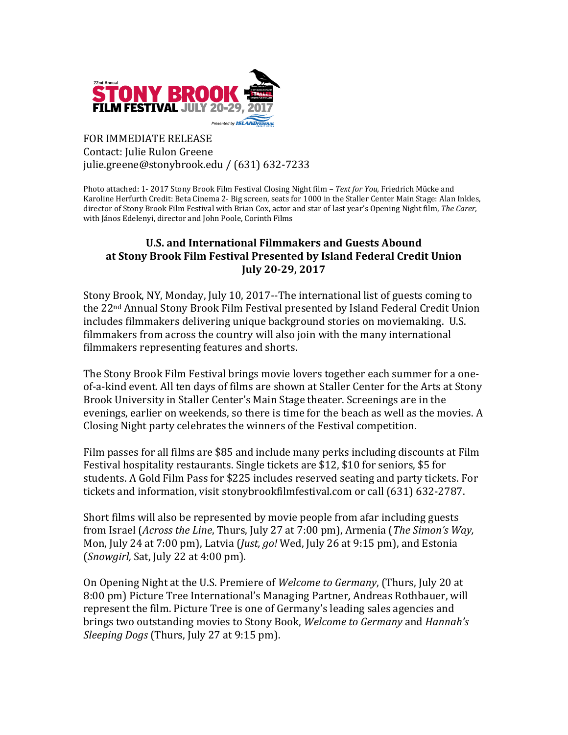

FOR IMMEDIATE RELEASE Contact: Julie Rulon Greene julie.greene@stonybrook.edu / (631) 632-7233

Photo attached: 1- 2017 Stony Brook Film Festival Closing Night film *– Text for You,* Friedrich Mücke and Karoline Herfurth Credit: Beta Cinema 2- Big screen, seats for 1000 in the Staller Center Main Stage: Alan Inkles, director of Stony Brook Film Festival with Brian Cox, actor and star of last year's Opening Night film, *The Carer,* with János Edelenyi, director and John Poole, Corinth Films

## **U.S. and International Filmmakers and Guests Abound at Stony Brook Film Festival Presented by Island Federal Credit Union July 20-29, 2017**

Stony Brook, NY, Monday, July 10, 2017--The international list of guests coming to the 22nd Annual Stony Brook Film Festival presented by Island Federal Credit Union includes filmmakers delivering unique background stories on moviemaking. U.S. filmmakers from across the country will also join with the many international filmmakers representing features and shorts.

The Stony Brook Film Festival brings movie lovers together each summer for a oneof-a-kind event. All ten days of films are shown at Staller Center for the Arts at Stony Brook University in Staller Center's Main Stage theater. Screenings are in the evenings, earlier on weekends, so there is time for the beach as well as the movies. A Closing Night party celebrates the winners of the Festival competition.

Film passes for all films are \$85 and include many perks including discounts at Film Festival hospitality restaurants. Single tickets are \$12, \$10 for seniors, \$5 for students. A Gold Film Pass for \$225 includes reserved seating and party tickets. For tickets and information, visit stonybrookfilmfestival.com or call (631) 632-2787.

Short films will also be represented by movie people from afar including guests from Israel (*Across the Line*, Thurs, July 27 at 7:00 pm), Armenia (*The Simon's Way,* Mon, July 24 at 7:00 pm), Latvia (*Just, go!* Wed, July 26 at 9:15 pm), and Estonia (*Snowgirl,* Sat, July 22 at 4:00 pm).

On Opening Night at the U.S. Premiere of *Welcome to Germany*, (Thurs, July 20 at 8:00 pm) Picture Tree International's Managing Partner, Andreas Rothbauer, will represent the film. Picture Tree is one of Germany's leading sales agencies and brings two outstanding movies to Stony Book, *Welcome to Germany* and *Hannah's Sleeping Dogs* (Thurs, July 27 at 9:15 pm).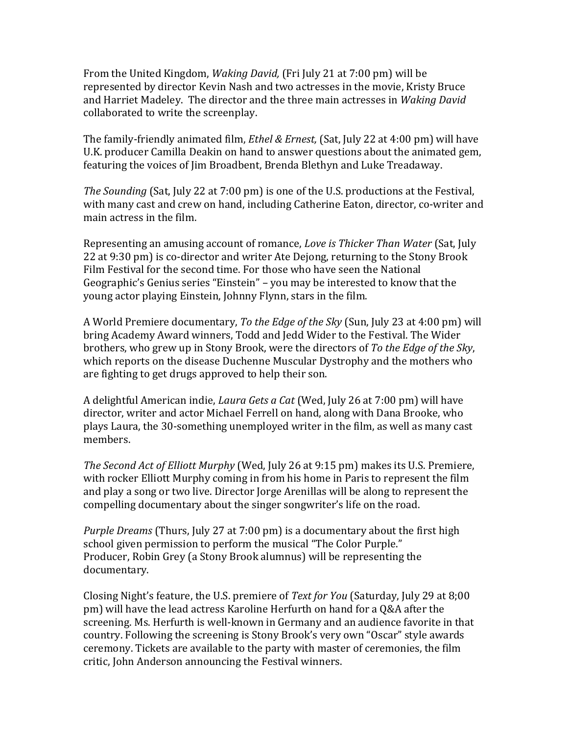From the United Kingdom, *Waking David,* (Fri July 21 at 7:00 pm) will be represented by director Kevin Nash and two actresses in the movie, Kristy Bruce and Harriet Madeley. The director and the three main actresses in *Waking David* collaborated to write the screenplay.

The family-friendly animated film, *Ethel & Ernest,* (Sat, July 22 at 4:00 pm) will have U.K. producer Camilla Deakin on hand to answer questions about the animated gem, featuring the voices of Jim Broadbent, Brenda Blethyn and Luke Treadaway.

*The Sounding* (Sat, July 22 at 7:00 pm) is one of the U.S. productions at the Festival, with many cast and crew on hand, including Catherine Eaton, director, co-writer and main actress in the film.

Representing an amusing account of romance, *Love is Thicker Than Water* (Sat, July 22 at 9:30 pm) is co-director and writer Ate Dejong, returning to the Stony Brook Film Festival for the second time. For those who have seen the National Geographic's Genius series "Einstein" – you may be interested to know that the young actor playing Einstein, Johnny Flynn, stars in the film.

A World Premiere documentary, *To the Edge of the Sky* (Sun, July 23 at 4:00 pm) will bring Academy Award winners, Todd and Jedd Wider to the Festival. The Wider brothers, who grew up in Stony Brook, were the directors of *To the Edge of the Sky*, which reports on the disease Duchenne Muscular Dystrophy and the mothers who are fighting to get drugs approved to help their son.

A delightful American indie, *Laura Gets a Cat* (Wed, July 26 at 7:00 pm) will have director, writer and actor Michael Ferrell on hand, along with Dana Brooke, who plays Laura, the 30-something unemployed writer in the film, as well as many cast members.

*The Second Act of Elliott Murphy* (Wed, July 26 at 9:15 pm) makes its U.S. Premiere, with rocker Elliott Murphy coming in from his home in Paris to represent the film and play a song or two live. Director Jorge Arenillas will be along to represent the compelling documentary about the singer songwriter's life on the road.

*Purple Dreams* (Thurs, July 27 at 7:00 pm) is a documentary about the first high school given permission to perform the musical "The Color Purple." Producer, Robin Grey (a Stony Brook alumnus) will be representing the documentary.

Closing Night's feature, the U.S. premiere of *Text for You* (Saturday, July 29 at 8;00 pm) will have the lead actress Karoline Herfurth on hand for a Q&A after the screening. Ms. Herfurth is well-known in Germany and an audience favorite in that country. Following the screening is Stony Brook's very own "Oscar" style awards ceremony. Tickets are available to the party with master of ceremonies, the film critic, John Anderson announcing the Festival winners.